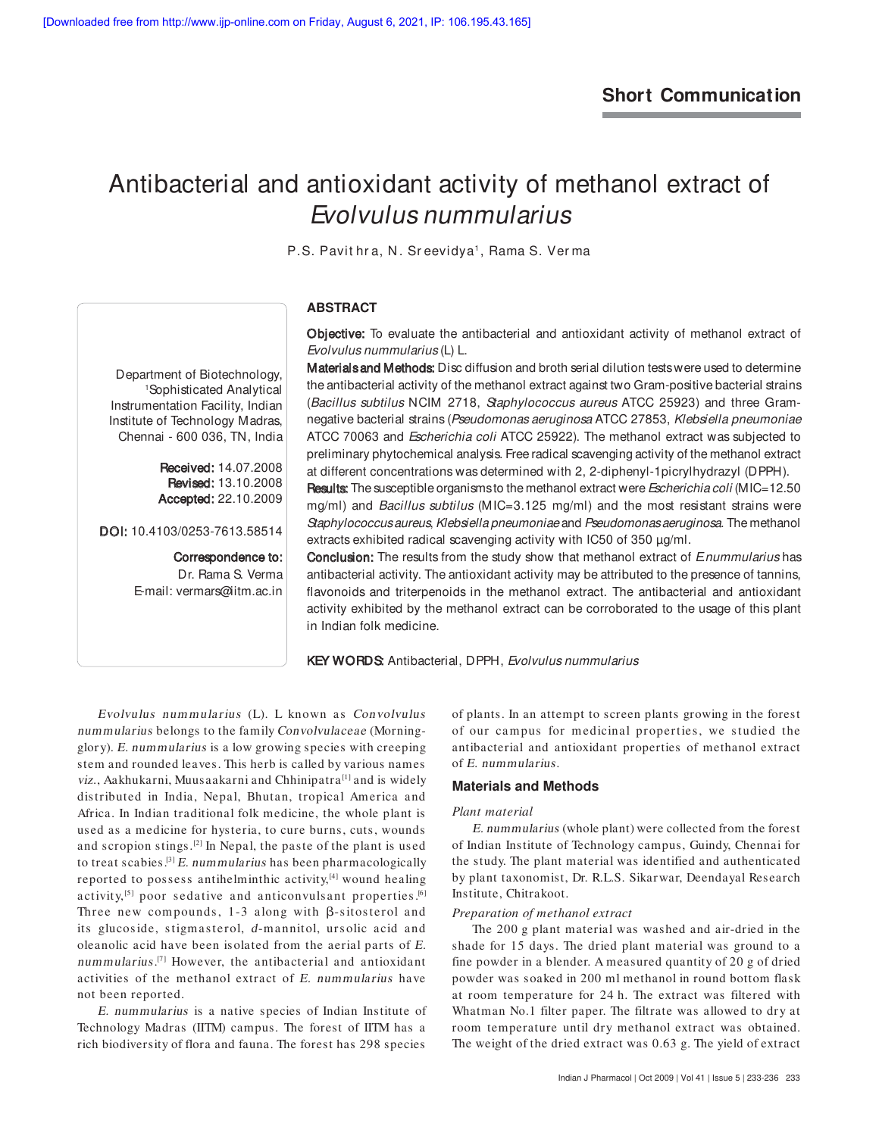# Antibacterial and antioxidant activity of methanol extract of Evolvulus nummularius

P.S. Pavit hra, N. Sreevidya<sup>,</sup>, Rama S. Verma

# **ABSTRACT**

Objective: To evaluate the antibacterial and antioxidant activity of methanol extract of Evolvulus nummularius (L) L.

Materials and Methods: Disc diffusion and broth serial dilution tests were used to determine the antibacterial activity of the methanol extract against two Gram-positive bacterial strains (Bacillus subtilus NCIM 2718, Staphylococcus aureus ATCC 25923) and three Gramnegative bacterial strains (Pseudomonas aeruginosa ATCC 27853, Klebsiella pneumoniae ATCC 70063 and Escherichia coli ATCC 25922). The methanol extract was subjected to preliminary phytochemical analysis. Free radical scavenging activity of the methanol extract at different concentrations was determined with 2, 2-diphenyl-1picrylhydrazyl (DPPH).

Results: The susceptible organisms to the methanol extract were *Escherichia coli* (MIC=12.50 mg/ml) and Bacillus subtilus (MIC=3.125 mg/ml) and the most resistant strains were Staphylococcus aureus, Klebsiella pneumoniae and Pseudomonas aeruginosa. The methanol extracts exhibited radical scavenging activity with IC50 of 350 µg/ml.

**Conclusion:** The results from the study show that methanol extract of *Enummularius* has antibacterial activity. The antioxidant activity may be attributed to the presence of tannins, flavonoids and triterpenoids in the methanol extract. The antibacterial and antioxidant activity exhibited by the methanol extract can be corroborated to the usage of this plant in Indian folk medicine.

KEY WORDS: Antibacterial, DPPH, Evolvulus nummularius

Evolvulus nummularius (L). L known as Convolvulus nummularius belongs to the family Convolvulaceae (Morningglory). E. nummularius is a low growing species with creeping stem and rounded leaves. This herb is called by various names viz., Aakhukarni, Muusaakarni and Chhinipatra<sup>[1]</sup> and is widely distributed in India, Nepal, Bhutan, tropical America and Africa. In Indian traditional folk medicine, the whole plant is used as a medicine for hysteria, to cure burns, cuts, wounds and scropion stings.[2] In Nepal, the paste of the plant is used to treat scabies.<sup>[3]</sup> E. nummularius has been pharmacologically reported to possess antihelminthic activity,<sup>[4]</sup> wound healing activity,<sup>[5]</sup> poor sedative and anticonvuls ant properties.<sup>[6]</sup> Three new compounds,  $1-3$  along with  $\beta$ -sitosterol and its glucoside, stigmasterol, d-mannitol, ursolic acid and oleanolic acid have been isolated from the aerial parts of E. nummularius.<sup>[7]</sup> However, the antibacterial and antioxidant activities of the methanol extract of E. nummularius have not been reported.

E. nummularius is a native species of Indian Institute of Technology Madras (IITM) campus. The forest of IITM has a rich biodiversity of flora and fauna. The forest has 298 species

of plants. In an attempt to screen plants growing in the forest of our campus for medicinal properties, we studied the antibacterial and antioxidant properties of methanol extract of E. nummularius.

## **Materials and Methods**

#### *Plant material*

E. nummularius (whole plant) were collected from the forest of Indian Institute of Technology campus, Guindy, Chennai for the study. The plant material was identified and authenticated by plant taxonomist, Dr. R.L.S. Sikarwar, Deendayal Research Institute, Chitrakoot.

#### *Preparation of methanol extract*

The 200 g plant material was washed and air-dried in the shade for 15 days. The dried plant material was ground to a fine powder in a blender. A measured quantity of 20 g of dried powder was soaked in 200 ml methanol in round bottom flask at room temperature for 24 h. The extract was filtered with Whatman No.1 filter paper. The filtrate was allowed to dry at room temperature until dry methanol extract was obtained. The weight of the dried extract was 0.63 g. The yield of extract

Department of Biotechnology, <sup>1</sup>Sophisticated Analytical Instrumentation Facility, Indian Institute of Technology Madras, Chennai - 600 036, TN, India

> Received: 14.07.2008 **Revised: 13.10.2008** Accepted: 22.10.2009 Accepted:

DOI: 10.4103/0253-7613.58514

Correspondence to: Dr. Rama S. Verma

E-mail: vermars@iitm.ac.in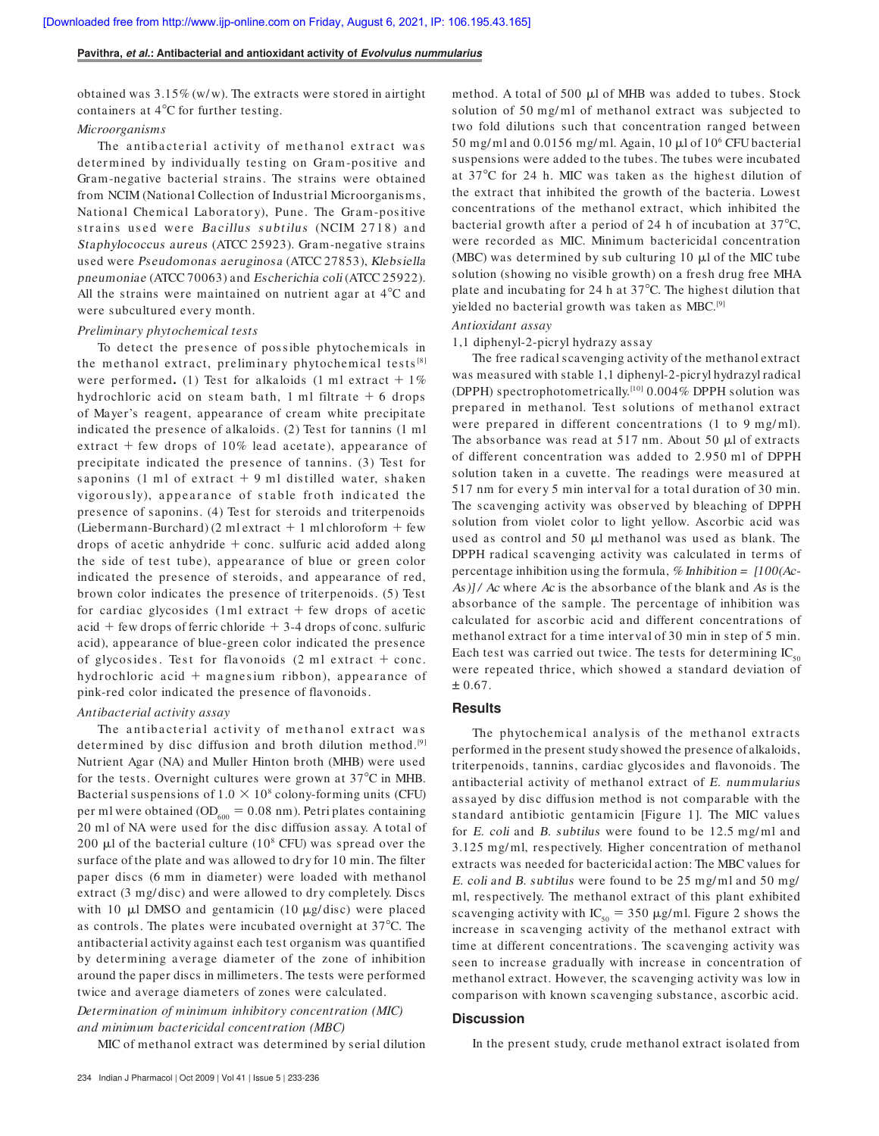#### **Pavithra, et al.: Antibacterial and antioxidant activity of Evolvulus nummularius**

obtained was  $3.15\%$  (w/w). The extracts were stored in airtight containers at 4°C for further testing.

# *Microorganisms*

The antibacterial activity of methanol extract was determined by individually testing on Gram-positive and Gram-negative bacterial strains. The strains were obtained from NCIM (National Collection of Industrial Microorganisms, National Chemical Laboratory), Pune. The Gram-positive strains used were Bacillus subtilus (NCIM 2718) and Staphylococcus aureus (ATCC 25923). Gram-negative strains used were Pseudomonas aeruginosa (ATCC 27853), Klebsiella pneumoniae (ATCC 70063) and Escherichia coli (ATCC 25922). All the strains were maintained on nutrient agar at  $4^{\circ}$ C and were subcultured every month.

#### *Preliminary phytochemical tests*

To detect the presence of possible phytochemicals in the methanol extract, preliminary phytochemical tests<sup>[8]</sup> were performed. (1) Test for alkaloids (1 ml extract  $+1\%$ hydrochloric acid on steam bath, 1 ml filtrate  $+6$  drops of Mayer's reagent, appearance of cream white precipitate indicated the presence of alkaloids. (2) Test for tannins (1 ml extract  $+$  few drops of 10% lead acetate), appearance of precipitate indicated the presence of tannins. (3) Test for saponins (1 ml of extract  $+$  9 ml distilled water, shaken vigorously), appearance of stable froth indicated the presence of saponins. (4) Test for steroids and triterpenoids (Liebermann-Burchard) (2 ml extract  $+1$  ml chloroform  $+$  few drops of acetic anhydride  $+$  conc. sulfuric acid added along the side of test tube), appearance of blue or green color indicated the presence of steroids, and appearance of red, brown color indicates the presence of triterpenoids. (5) Test for cardiac glycosides (1ml extract  $+$  few drops of acetic  $\alpha$ id + few drops of ferric chloride + 3-4 drops of conc. sulfuric acid), appearance of blue-green color indicated the presence of glycosides. Test for flavonoids  $(2 \text{ ml extract} + \text{conc.})$ hydrochloric acid  $+$  magnesium ribbon), appearance of pink-red color indicated the presence of flavonoids.

# *Antibacterial activity assay*

The antibacterial activity of methanol extract was determined by disc diffusion and broth dilution method.<sup>[9]</sup> Nutrient Agar (NA) and Muller Hinton broth (MHB) were used for the tests. Overnight cultures were grown at  $37^{\circ}$ C in MHB. Bacterial suspensions of  $1.0 \times 10^8$  colony-forming units (CFU) per ml were obtained ( $OD<sub>600</sub> = 0.08$  nm). Petri plates containing 20 ml of NA were used for the disc diffusion assay. A total of 200  $\mu$ l of the bacterial culture (10<sup>8</sup> CFU) was spread over the surface of the plate and was allowed to dry for 10 min. The filter paper discs (6 mm in diameter) were loaded with methanol extract (3 mg/disc) and were allowed to dry completely. Discs with 10  $\mu$ l DMSO and gentamicin (10  $\mu$ g/ disc) were placed as controls. The plates were incubated overnight at  $37^{\circ}$ C. The antibacterial activity against each test organism was quantified by determining average diameter of the zone of inhibition around the paper discs in millimeters. The tests were performed twice and average diameters of zones were calculated.

*Determination of minimum inhibitory concentration (MIC) and minimum bactericidal concentration (MBC)*

MIC of methanol extract was determined by serial dilution

method. A total of 500 µl of MHB was added to tubes. Stock solution of 50 mg/ml of methanol extract was subjected to two fold dilutions such that concentration ranged between 50 mg/ml and  $0.0156$  mg/ml. Again,  $10 \mu$ l of  $10^6$  CFU bacterial suspensions were added to the tubes. The tubes were incubated at 37C for 24 h. MIC was taken as the highest dilution of the extract that inhibited the growth of the bacteria. Lowest concentrations of the methanol extract, which inhibited the bacterial growth after a period of 24 h of incubation at  $37^{\circ}$ C, were recorded as MIC. Minimum bactericidal concentration  $(MBC)$  was determined by sub culturing 10  $\mu$ l of the MIC tube solution (showing no visible growth) on a fresh drug free MHA plate and incubating for 24 h at  $37^{\circ}$ C. The highest dilution that yielded no bacterial growth was taken as MBC.<sup>[9]</sup>

# *Antioxidant assay*

#### 1,1 diphenyl-2-picryl hydrazy assay

The free radical scavenging activity of the methanol extract was measured with stable 1,1 diphenyl-2-picryl hydrazyl radical (DPPH) spectrophotometrically.[10] 0.004% DPPH solution was prepared in methanol. Test solutions of methanol extract were prepared in different concentrations (1 to 9 mg/ml). The absorbance was read at  $517$  nm. About  $50 \mu$ l of extracts of different concentration was added to 2.950 ml of DPPH solution taken in a cuvette. The readings were measured at 517 nm for every 5 min interval for a total duration of 30 min. The scavenging activity was observed by bleaching of DPPH solution from violet color to light yellow. Ascorbic acid was used as control and 50  $\mu$ l methanol was used as blank. The DPPH radical scavenging activity was calculated in terms of percentage inhibition using the formula, % Inhibition =  $[100(Ac As$ )] / Ac where Ac is the absorbance of the blank and As is the absorbance of the sample. The percentage of inhibition was calculated for ascorbic acid and different concentrations of methanol extract for a time interval of 30 min in step of 5 min. Each test was carried out twice. The tests for determining  $IC_{50}$ were repeated thrice, which showed a standard deviation of  $± 0.67.$ 

# **Results**

The phytochemical analysis of the methanol extracts performed in the present study showed the presence of alkaloids, triterpenoids, tannins, cardiac glycosides and flavonoids. The antibacterial activity of methanol extract of E. nummularius assayed by disc diffusion method is not comparable with the standard antibiotic gentamicin [Figure 1]. The MIC values for *E. coli* and *B. subtilus* were found to be 12.5 mg/ml and 3.125 mg/ ml, respectively. Higher concentration of methanol extracts was needed for bactericidal action: The MBC values for E. coli and B. subtilus were found to be 25 mg/ ml and 50 mg/ ml, respectively. The methanol extract of this plant exhibited scavenging activity with IC<sub>50</sub> = 350  $\mu$ g/ml. Figure 2 shows the increase in scavenging activity of the methanol extract with time at different concentrations. The scavenging activity was seen to increase gradually with increase in concentration of methanol extract. However, the scavenging activity was low in comparison with known scavenging substance, ascorbic acid.

# **Discussion**

In the present study, crude methanol extract isolated from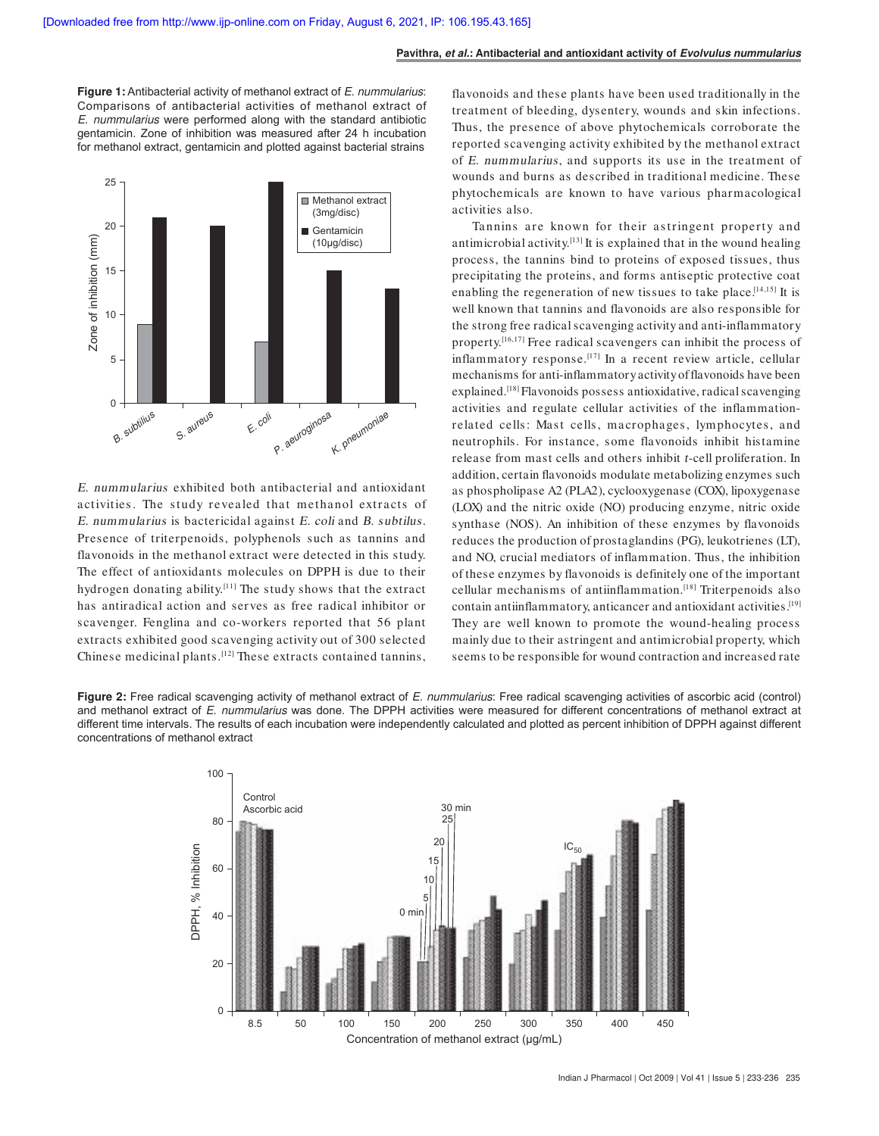**Figure 1:** Antibacterial activity of methanol extract of E. nummularius: Comparisons of antibacterial activities of methanol extract of E. nummularius were performed along with the standard antibiotic gentamicin. Zone of inhibition was measured after 24 h incubation for methanol extract, gentamicin and plotted against bacterial strains



E. nummularius exhibited both antibacterial and antioxidant activities. The study revealed that methanol extracts of E. nummularius is bactericidal against E. coli and B. subtilus. Presence of triterpenoids, polyphenols such as tannins and flavonoids in the methanol extract were detected in this study. The effect of antioxidants molecules on DPPH is due to their hydrogen donating ability.[11] The study shows that the extract has antiradical action and serves as free radical inhibitor or scavenger. Fenglina and co-workers reported that 56 plant extracts exhibited good scavenging activity out of 300 selected Chinese medicinal plants.[12] These extracts contained tannins, flavonoids and these plants have been used traditionally in the treatment of bleeding, dysentery, wounds and skin infections. Thus, the presence of above phytochemicals corroborate the reported scavenging activity exhibited by the methanol extract of E. nummularius, and supports its use in the treatment of wounds and burns as described in traditional medicine. These phytochemicals are known to have various pharmacological activities also.

Tannins are known for their as tringent property and antimicrobial activity.[13] It is explained that in the wound healing process, the tannins bind to proteins of exposed tissues, thus precipitating the proteins, and forms antiseptic protective coat enabling the regeneration of new tissues to take place.<sup>[14,15]</sup> It is well known that tannins and flavonoids are also responsible for the strong free radical scavenging activity and anti-inflammatory property.<sup>[16,17]</sup> Free radical scavengers can inhibit the process of inflammatory response.<sup>[17]</sup> In a recent review article, cellular mechanisms for anti-inflammatory activity of flavonoids have been explained.<sup>[18]</sup> Flavonoids possess antioxidative, radical scavenging activities and regulate cellular activities of the inflammationrelated cells: Mast cells, macrophages, lymphocytes, and neutrophils. For instance, some flavonoids inhibit histamine release from mast cells and others inhibit t-cell proliferation. In addition, certain flavonoids modulate metabolizing enzymes such as phospholipase A2 (PLA2), cyclooxygenase (COX), lipoxygenase (LOX) and the nitric oxide (NO) producing enzyme, nitric oxide synthase (NOS). An inhibition of these enzymes by flavonoids reduces the production of prostaglandins (PG), leukotrienes (LT), and NO, crucial mediators of inflammation. Thus, the inhibition of these enzymes by flavonoids is definitely one of the important cellular mechanisms of antiinflammation.[18] Triterpenoids also contain antiinflammatory, anticancer and antioxidant activities. [19] They are well known to promote the wound-healing process mainly due to their astringent and antimicrobial property, which seems to be responsible for wound contraction and increased rate

**Figure 2:** Free radical scavenging activity of methanol extract of E. nummularius: Free radical scavenging activities of ascorbic acid (control) and methanol extract of E. nummularius was done. The DPPH activities were measured for different concentrations of methanol extract at different time intervals. The results of each incubation were independently calculated and plotted as percent inhibition of DPPH against different concentrations of methanol extract